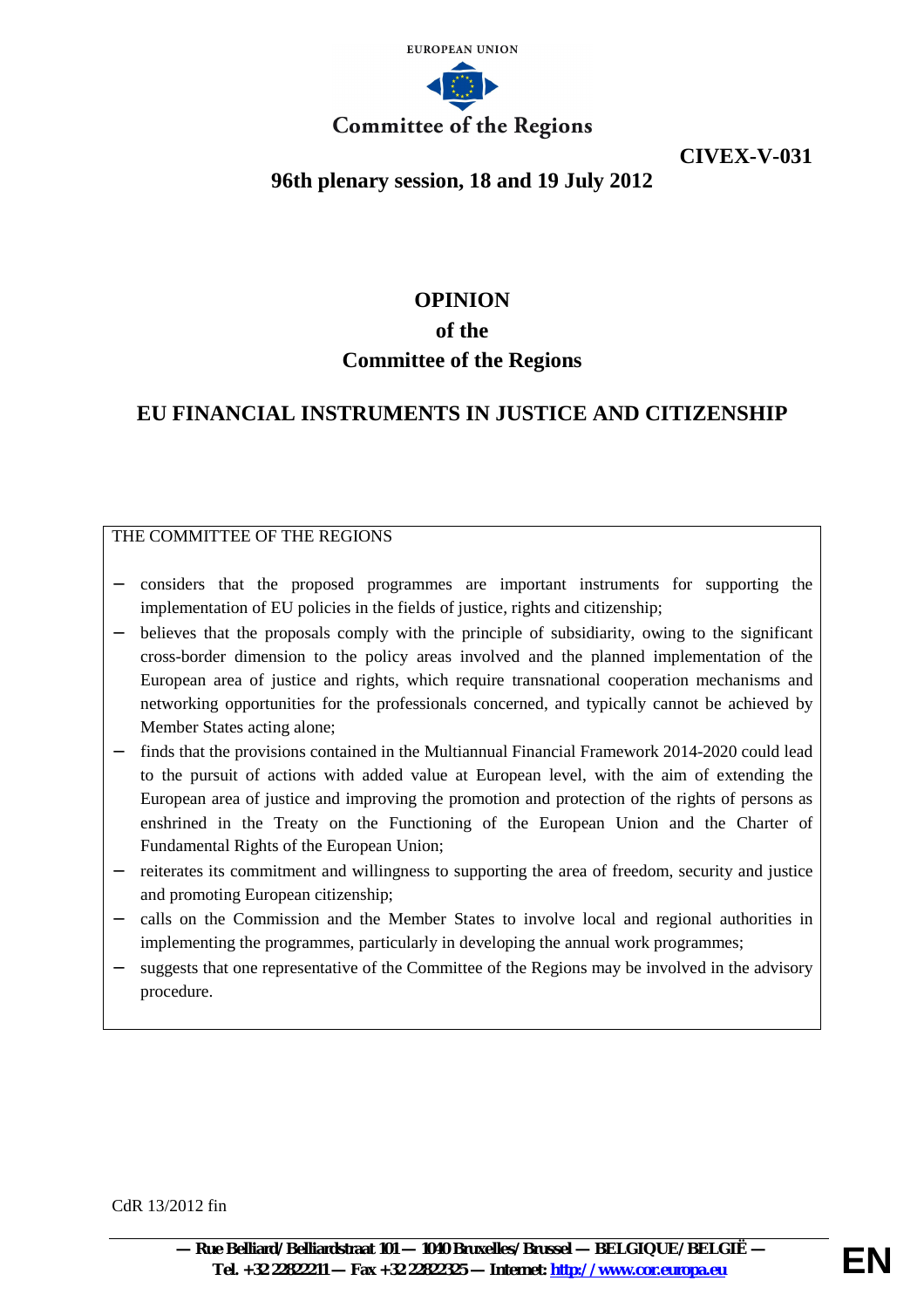

**CIVEX-V-031**

## **96th plenary session, 18 and 19 July 2012**

# **OPINION of the Committee of the Regions**

## **EU FINANCIAL INSTRUMENTS IN JUSTICE AND CITIZENSHIP**

### THE COMMITTEE OF THE REGIONS

- − considers that the proposed programmes are important instruments for supporting the implementation of EU policies in the fields of justice, rights and citizenship;
- believes that the proposals comply with the principle of subsidiarity, owing to the significant cross-border dimension to the policy areas involved and the planned implementation of the European area of justice and rights, which require transnational cooperation mechanisms and networking opportunities for the professionals concerned, and typically cannot be achieved by Member States acting alone;
- finds that the provisions contained in the Multiannual Financial Framework 2014-2020 could lead to the pursuit of actions with added value at European level, with the aim of extending the European area of justice and improving the promotion and protection of the rights of persons as enshrined in the Treaty on the Functioning of the European Union and the Charter of Fundamental Rights of the European Union;
- reiterates its commitment and willingness to supporting the area of freedom, security and justice and promoting European citizenship;
- − calls on the Commission and the Member States to involve local and regional authorities in implementing the programmes, particularly in developing the annual work programmes;
- suggests that one representative of the Committee of the Regions may be involved in the advisory procedure.

CdR 13/2012 fin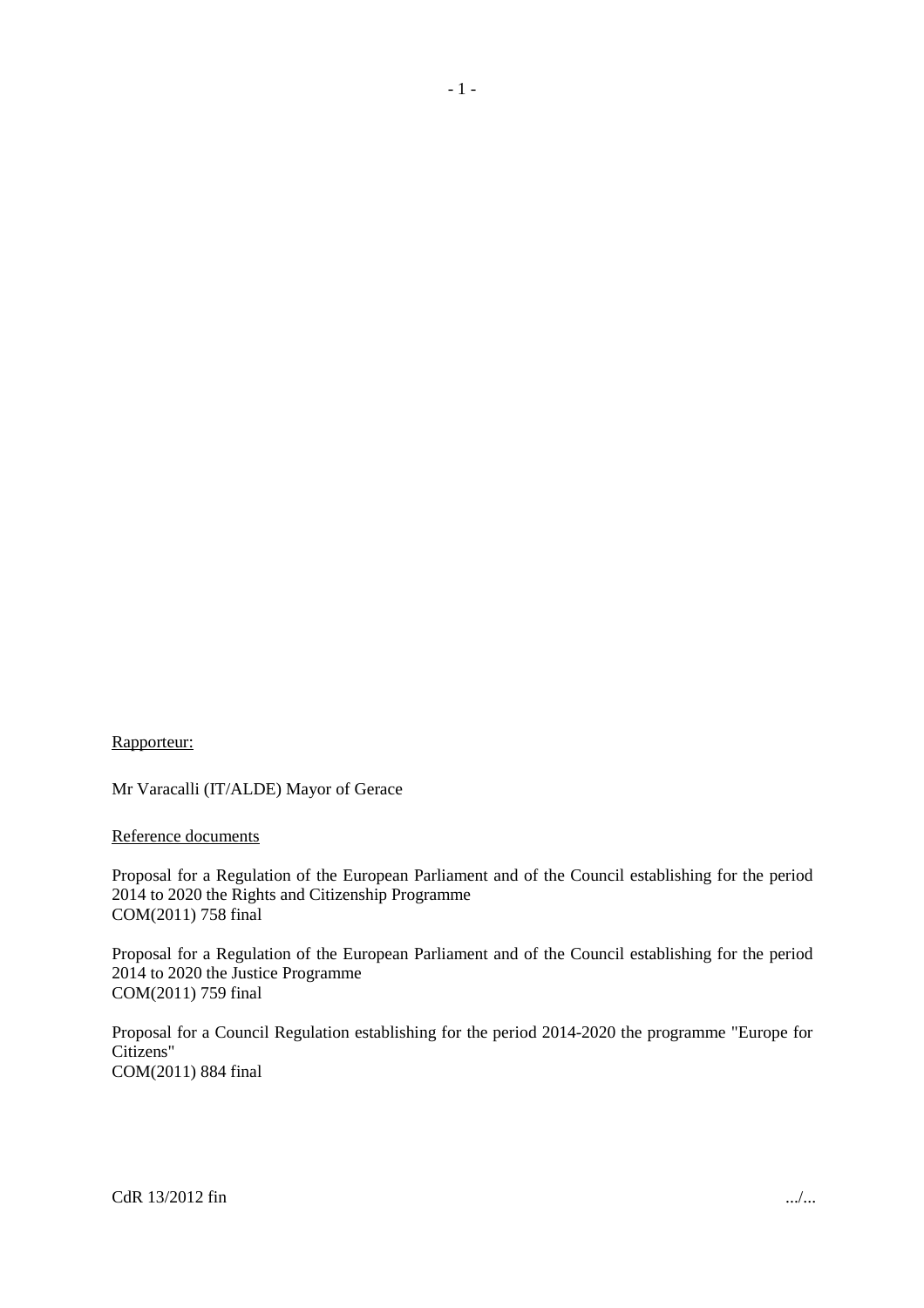#### Rapporteur:

Mr Varacalli (IT/ALDE) Mayor of Gerace

#### Reference documents

Proposal for a Regulation of the European Parliament and of the Council establishing for the period 2014 to 2020 the Rights and Citizenship Programme COM(2011) 758 final

Proposal for a Regulation of the European Parliament and of the Council establishing for the period 2014 to 2020 the Justice Programme COM(2011) 759 final

Proposal for a Council Regulation establishing for the period 2014-2020 the programme "Europe for Citizens" COM(2011) 884 final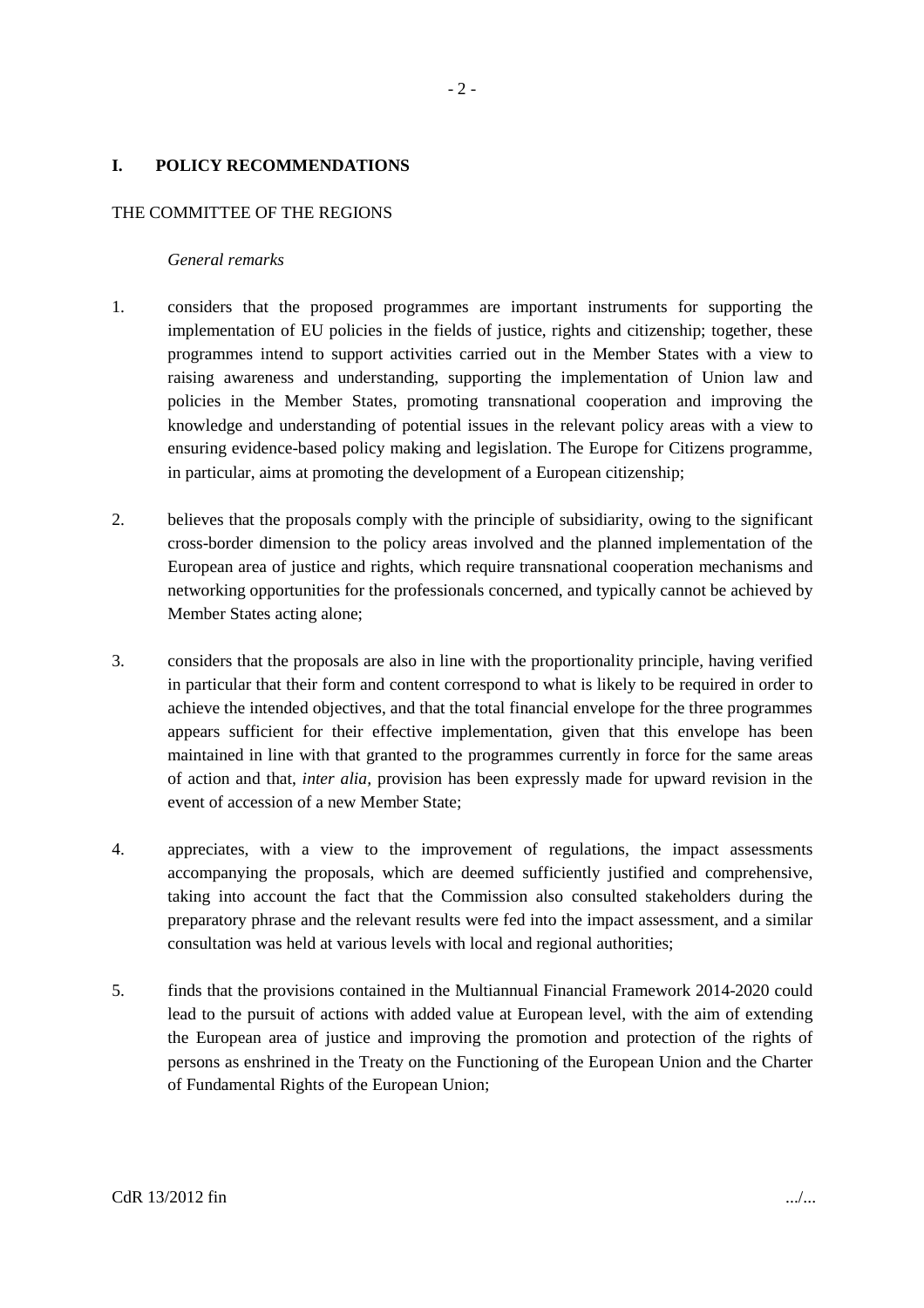#### **I. POLICY RECOMMENDATIONS**

#### THE COMMITTEE OF THE REGIONS

#### *General remarks*

- 1. considers that the proposed programmes are important instruments for supporting the implementation of EU policies in the fields of justice, rights and citizenship; together, these programmes intend to support activities carried out in the Member States with a view to raising awareness and understanding, supporting the implementation of Union law and policies in the Member States, promoting transnational cooperation and improving the knowledge and understanding of potential issues in the relevant policy areas with a view to ensuring evidence-based policy making and legislation. The Europe for Citizens programme, in particular, aims at promoting the development of a European citizenship;
- 2. believes that the proposals comply with the principle of subsidiarity, owing to the significant cross-border dimension to the policy areas involved and the planned implementation of the European area of justice and rights, which require transnational cooperation mechanisms and networking opportunities for the professionals concerned, and typically cannot be achieved by Member States acting alone;
- 3. considers that the proposals are also in line with the proportionality principle, having verified in particular that their form and content correspond to what is likely to be required in order to achieve the intended objectives, and that the total financial envelope for the three programmes appears sufficient for their effective implementation, given that this envelope has been maintained in line with that granted to the programmes currently in force for the same areas of action and that, *inter alia,* provision has been expressly made for upward revision in the event of accession of a new Member State;
- 4. appreciates, with a view to the improvement of regulations, the impact assessments accompanying the proposals, which are deemed sufficiently justified and comprehensive, taking into account the fact that the Commission also consulted stakeholders during the preparatory phrase and the relevant results were fed into the impact assessment, and a similar consultation was held at various levels with local and regional authorities;
- 5. finds that the provisions contained in the Multiannual Financial Framework 2014-2020 could lead to the pursuit of actions with added value at European level, with the aim of extending the European area of justice and improving the promotion and protection of the rights of persons as enshrined in the Treaty on the Functioning of the European Union and the Charter of Fundamental Rights of the European Union;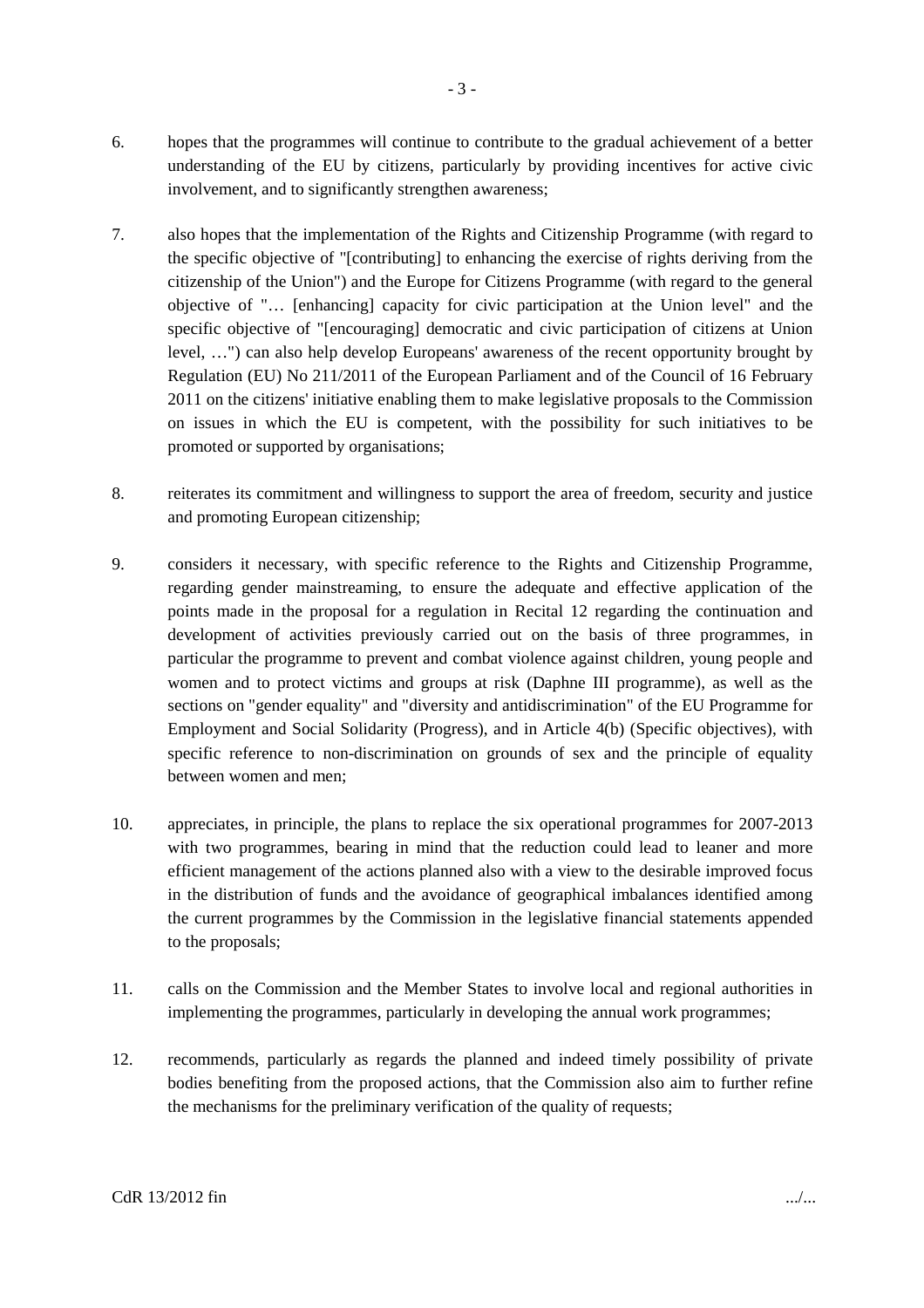- 6. hopes that the programmes will continue to contribute to the gradual achievement of a better understanding of the EU by citizens, particularly by providing incentives for active civic involvement, and to significantly strengthen awareness;
- 7. also hopes that the implementation of the Rights and Citizenship Programme (with regard to the specific objective of "[contributing] to enhancing the exercise of rights deriving from the citizenship of the Union") and the Europe for Citizens Programme (with regard to the general objective of "… [enhancing] capacity for civic participation at the Union level" and the specific objective of "[encouraging] democratic and civic participation of citizens at Union level, …") can also help develop Europeans' awareness of the recent opportunity brought by Regulation (EU) No 211/2011 of the European Parliament and of the Council of 16 February 2011 on the citizens' initiative enabling them to make legislative proposals to the Commission on issues in which the EU is competent, with the possibility for such initiatives to be promoted or supported by organisations;
- 8. reiterates its commitment and willingness to support the area of freedom, security and justice and promoting European citizenship;
- 9. considers it necessary, with specific reference to the Rights and Citizenship Programme, regarding gender mainstreaming, to ensure the adequate and effective application of the points made in the proposal for a regulation in Recital 12 regarding the continuation and development of activities previously carried out on the basis of three programmes, in particular the programme to prevent and combat violence against children, young people and women and to protect victims and groups at risk (Daphne III programme), as well as the sections on "gender equality" and "diversity and antidiscrimination" of the EU Programme for Employment and Social Solidarity (Progress), and in Article 4(b) (Specific objectives), with specific reference to non-discrimination on grounds of sex and the principle of equality between women and men;
- 10. appreciates, in principle, the plans to replace the six operational programmes for 2007-2013 with two programmes, bearing in mind that the reduction could lead to leaner and more efficient management of the actions planned also with a view to the desirable improved focus in the distribution of funds and the avoidance of geographical imbalances identified among the current programmes by the Commission in the legislative financial statements appended to the proposals;
- 11. calls on the Commission and the Member States to involve local and regional authorities in implementing the programmes, particularly in developing the annual work programmes;
- 12. recommends, particularly as regards the planned and indeed timely possibility of private bodies benefiting from the proposed actions, that the Commission also aim to further refine the mechanisms for the preliminary verification of the quality of requests;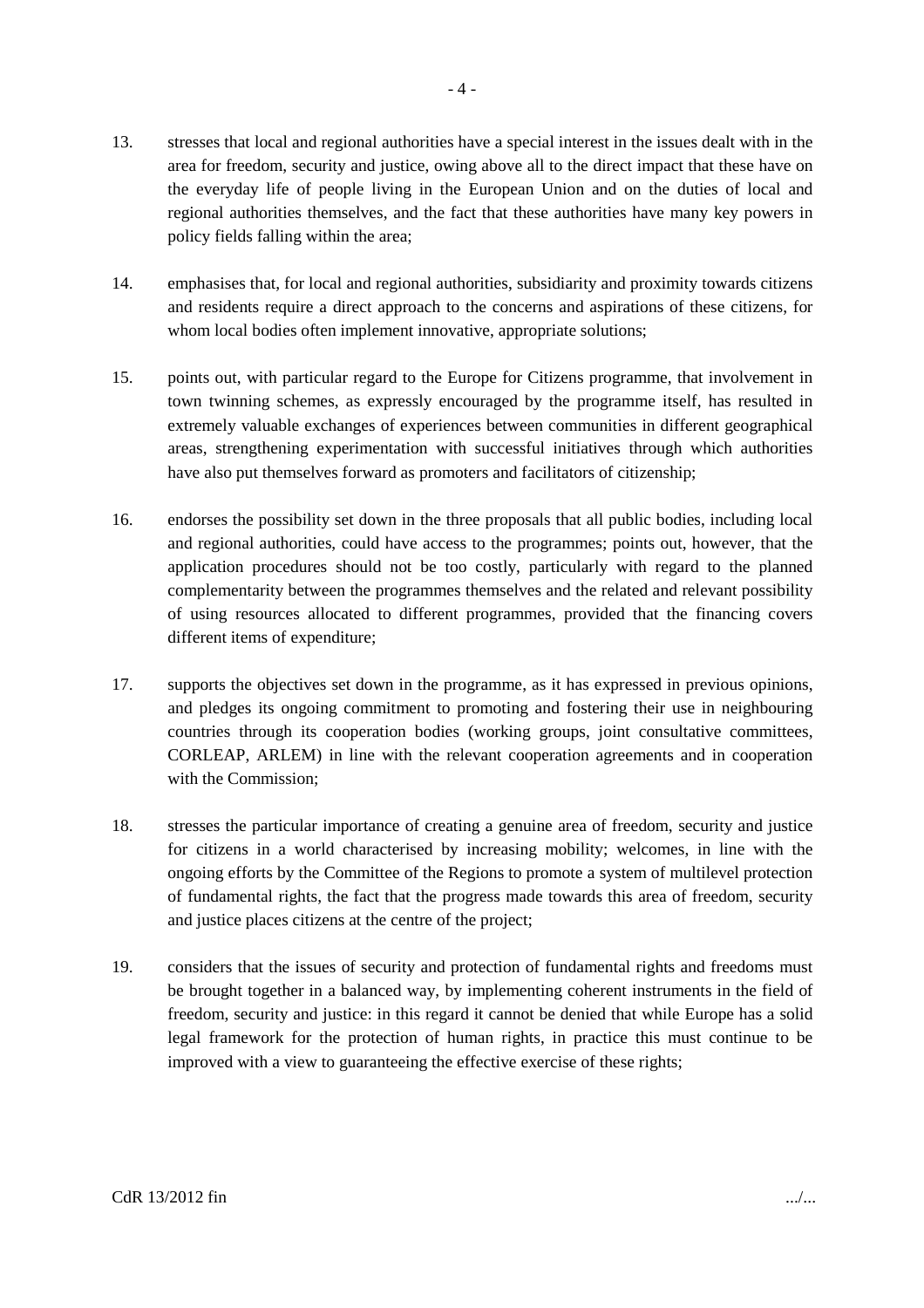- 13. stresses that local and regional authorities have a special interest in the issues dealt with in the area for freedom, security and justice, owing above all to the direct impact that these have on the everyday life of people living in the European Union and on the duties of local and regional authorities themselves, and the fact that these authorities have many key powers in policy fields falling within the area;
- 14. emphasises that, for local and regional authorities, subsidiarity and proximity towards citizens and residents require a direct approach to the concerns and aspirations of these citizens, for whom local bodies often implement innovative, appropriate solutions;
- 15. points out, with particular regard to the Europe for Citizens programme, that involvement in town twinning schemes, as expressly encouraged by the programme itself, has resulted in extremely valuable exchanges of experiences between communities in different geographical areas, strengthening experimentation with successful initiatives through which authorities have also put themselves forward as promoters and facilitators of citizenship;
- 16. endorses the possibility set down in the three proposals that all public bodies, including local and regional authorities, could have access to the programmes; points out, however, that the application procedures should not be too costly, particularly with regard to the planned complementarity between the programmes themselves and the related and relevant possibility of using resources allocated to different programmes, provided that the financing covers different items of expenditure;
- 17. supports the objectives set down in the programme, as it has expressed in previous opinions, and pledges its ongoing commitment to promoting and fostering their use in neighbouring countries through its cooperation bodies (working groups, joint consultative committees, CORLEAP, ARLEM) in line with the relevant cooperation agreements and in cooperation with the Commission;
- 18. stresses the particular importance of creating a genuine area of freedom, security and justice for citizens in a world characterised by increasing mobility; welcomes, in line with the ongoing efforts by the Committee of the Regions to promote a system of multilevel protection of fundamental rights, the fact that the progress made towards this area of freedom, security and justice places citizens at the centre of the project;
- 19. considers that the issues of security and protection of fundamental rights and freedoms must be brought together in a balanced way, by implementing coherent instruments in the field of freedom, security and justice: in this regard it cannot be denied that while Europe has a solid legal framework for the protection of human rights, in practice this must continue to be improved with a view to guaranteeing the effective exercise of these rights;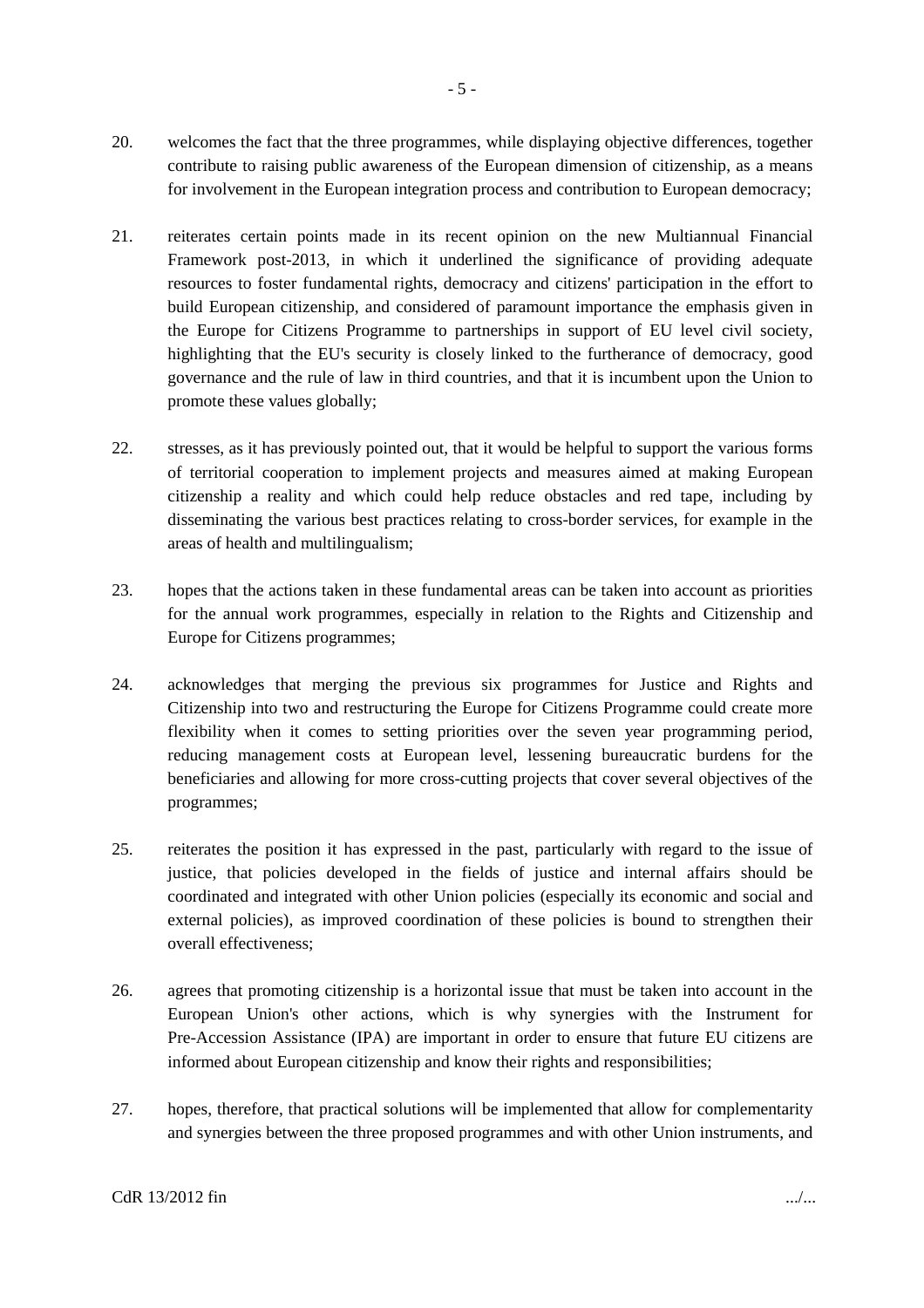- 20. welcomes the fact that the three programmes, while displaying objective differences, together contribute to raising public awareness of the European dimension of citizenship, as a means for involvement in the European integration process and contribution to European democracy;
- 21. reiterates certain points made in its recent opinion on the new Multiannual Financial Framework post-2013, in which it underlined the significance of providing adequate resources to foster fundamental rights, democracy and citizens' participation in the effort to build European citizenship, and considered of paramount importance the emphasis given in the Europe for Citizens Programme to partnerships in support of EU level civil society, highlighting that the EU's security is closely linked to the furtherance of democracy, good governance and the rule of law in third countries, and that it is incumbent upon the Union to promote these values globally;
- 22. stresses, as it has previously pointed out, that it would be helpful to support the various forms of territorial cooperation to implement projects and measures aimed at making European citizenship a reality and which could help reduce obstacles and red tape, including by disseminating the various best practices relating to cross-border services, for example in the areas of health and multilingualism;
- 23. hopes that the actions taken in these fundamental areas can be taken into account as priorities for the annual work programmes, especially in relation to the Rights and Citizenship and Europe for Citizens programmes;
- 24. acknowledges that merging the previous six programmes for Justice and Rights and Citizenship into two and restructuring the Europe for Citizens Programme could create more flexibility when it comes to setting priorities over the seven year programming period, reducing management costs at European level, lessening bureaucratic burdens for the beneficiaries and allowing for more cross-cutting projects that cover several objectives of the programmes;
- 25. reiterates the position it has expressed in the past, particularly with regard to the issue of justice, that policies developed in the fields of justice and internal affairs should be coordinated and integrated with other Union policies (especially its economic and social and external policies), as improved coordination of these policies is bound to strengthen their overall effectiveness;
- 26. agrees that promoting citizenship is a horizontal issue that must be taken into account in the European Union's other actions, which is why synergies with the Instrument for Pre-Accession Assistance (IPA) are important in order to ensure that future EU citizens are informed about European citizenship and know their rights and responsibilities;
- 27. hopes, therefore, that practical solutions will be implemented that allow for complementarity and synergies between the three proposed programmes and with other Union instruments, and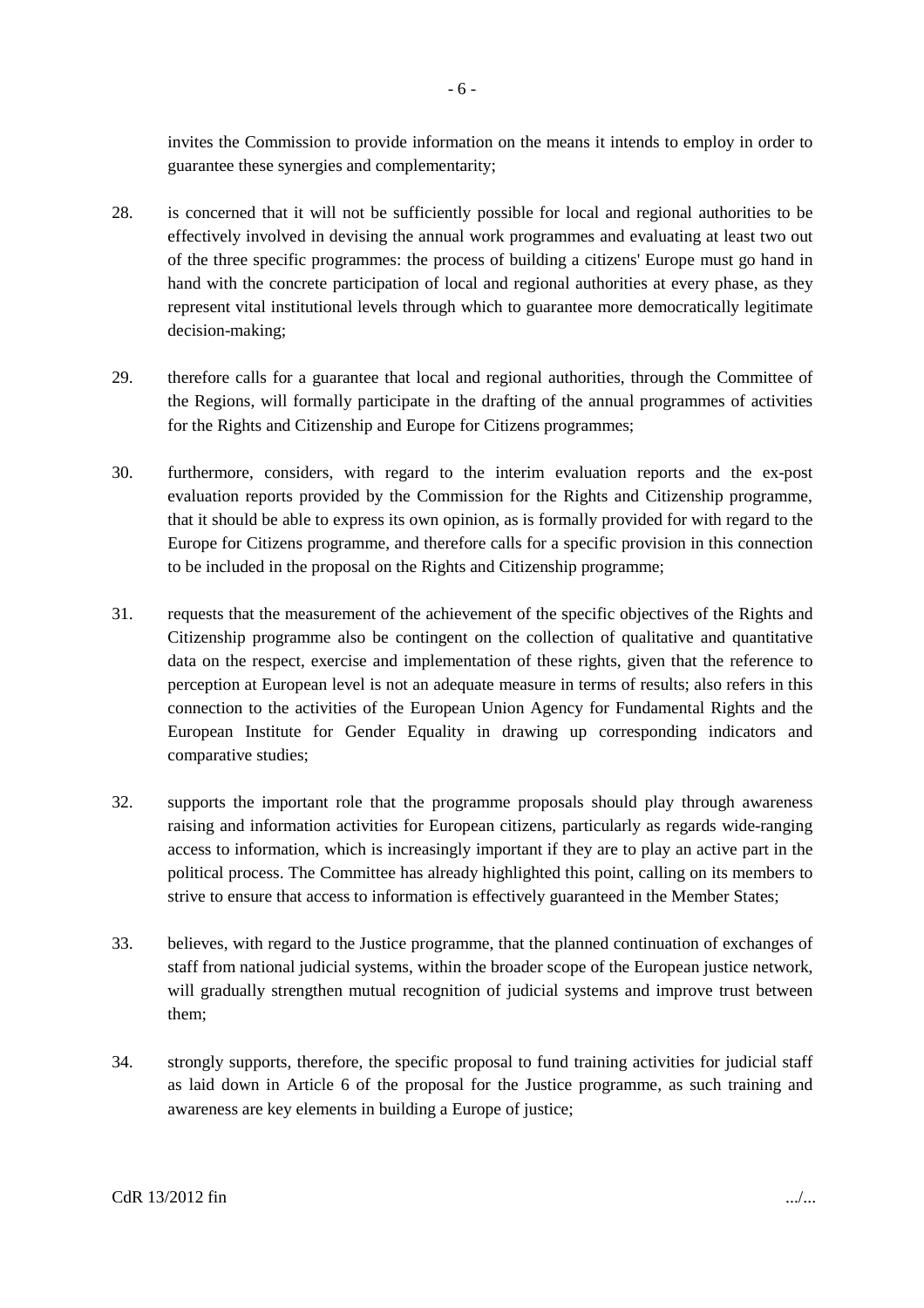invites the Commission to provide information on the means it intends to employ in order to guarantee these synergies and complementarity;

- 28. is concerned that it will not be sufficiently possible for local and regional authorities to be effectively involved in devising the annual work programmes and evaluating at least two out of the three specific programmes: the process of building a citizens' Europe must go hand in hand with the concrete participation of local and regional authorities at every phase, as they represent vital institutional levels through which to guarantee more democratically legitimate decision-making;
- 29. therefore calls for a guarantee that local and regional authorities, through the Committee of the Regions, will formally participate in the drafting of the annual programmes of activities for the Rights and Citizenship and Europe for Citizens programmes;
- 30. furthermore, considers, with regard to the interim evaluation reports and the ex-post evaluation reports provided by the Commission for the Rights and Citizenship programme, that it should be able to express its own opinion, as is formally provided for with regard to the Europe for Citizens programme, and therefore calls for a specific provision in this connection to be included in the proposal on the Rights and Citizenship programme;
- 31. requests that the measurement of the achievement of the specific objectives of the Rights and Citizenship programme also be contingent on the collection of qualitative and quantitative data on the respect, exercise and implementation of these rights, given that the reference to perception at European level is not an adequate measure in terms of results; also refers in this connection to the activities of the European Union Agency for Fundamental Rights and the European Institute for Gender Equality in drawing up corresponding indicators and comparative studies;
- 32. supports the important role that the programme proposals should play through awareness raising and information activities for European citizens, particularly as regards wide-ranging access to information, which is increasingly important if they are to play an active part in the political process. The Committee has already highlighted this point, calling on its members to strive to ensure that access to information is effectively guaranteed in the Member States;
- 33. believes, with regard to the Justice programme, that the planned continuation of exchanges of staff from national judicial systems, within the broader scope of the European justice network, will gradually strengthen mutual recognition of judicial systems and improve trust between them;
- 34. strongly supports, therefore, the specific proposal to fund training activities for judicial staff as laid down in Article 6 of the proposal for the Justice programme, as such training and awareness are key elements in building a Europe of justice;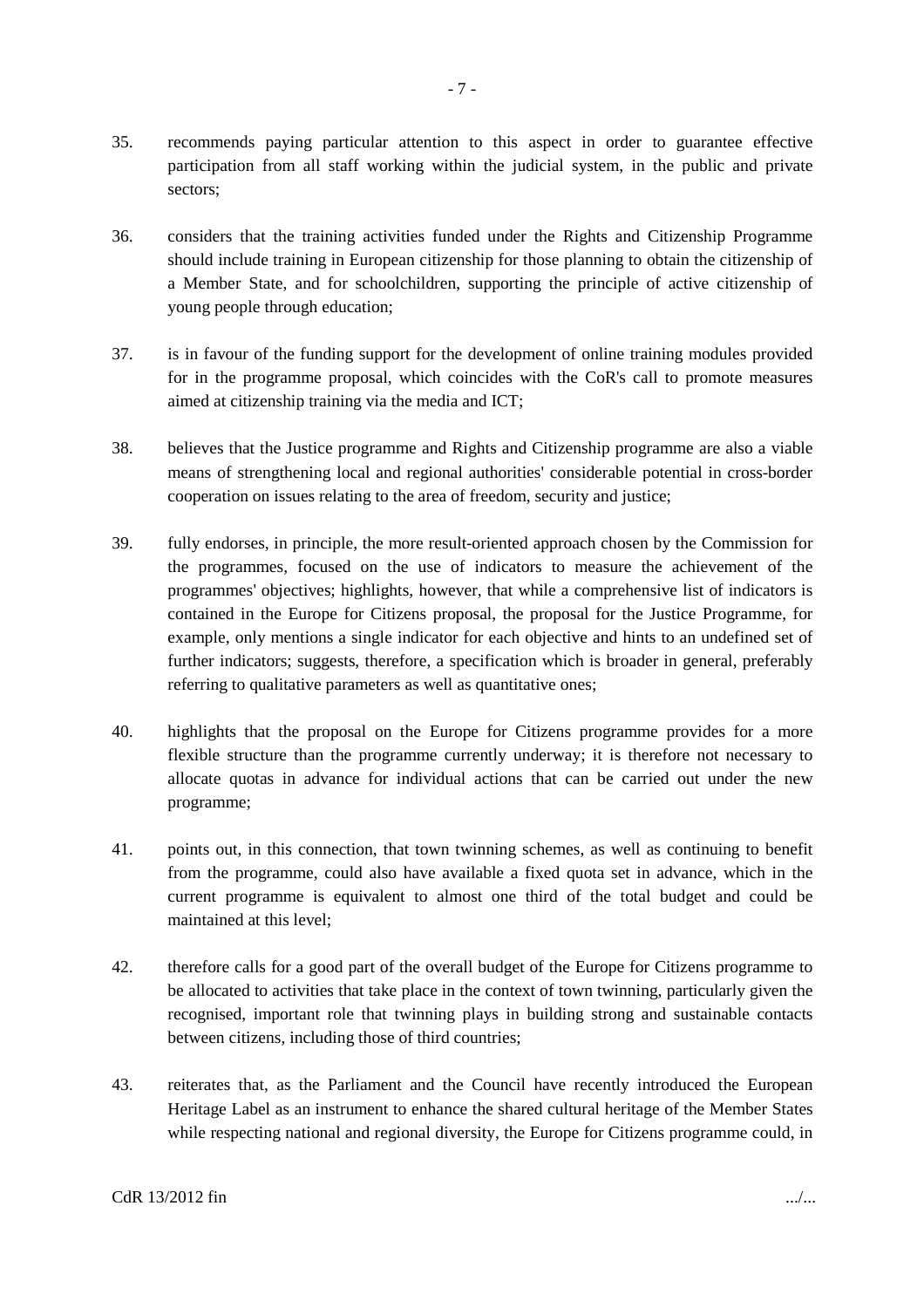- 35. recommends paying particular attention to this aspect in order to guarantee effective participation from all staff working within the judicial system, in the public and private sectors;
- 36. considers that the training activities funded under the Rights and Citizenship Programme should include training in European citizenship for those planning to obtain the citizenship of a Member State, and for schoolchildren, supporting the principle of active citizenship of young people through education;
- 37. is in favour of the funding support for the development of online training modules provided for in the programme proposal, which coincides with the CoR's call to promote measures aimed at citizenship training via the media and ICT;
- 38. believes that the Justice programme and Rights and Citizenship programme are also a viable means of strengthening local and regional authorities' considerable potential in cross-border cooperation on issues relating to the area of freedom, security and justice;
- 39. fully endorses, in principle, the more result-oriented approach chosen by the Commission for the programmes, focused on the use of indicators to measure the achievement of the programmes' objectives; highlights, however, that while a comprehensive list of indicators is contained in the Europe for Citizens proposal, the proposal for the Justice Programme, for example, only mentions a single indicator for each objective and hints to an undefined set of further indicators; suggests, therefore, a specification which is broader in general, preferably referring to qualitative parameters as well as quantitative ones;
- 40. highlights that the proposal on the Europe for Citizens programme provides for a more flexible structure than the programme currently underway; it is therefore not necessary to allocate quotas in advance for individual actions that can be carried out under the new programme;
- 41. points out, in this connection, that town twinning schemes, as well as continuing to benefit from the programme, could also have available a fixed quota set in advance, which in the current programme is equivalent to almost one third of the total budget and could be maintained at this level;
- 42. therefore calls for a good part of the overall budget of the Europe for Citizens programme to be allocated to activities that take place in the context of town twinning, particularly given the recognised, important role that twinning plays in building strong and sustainable contacts between citizens, including those of third countries;
- 43. reiterates that, as the Parliament and the Council have recently introduced the European Heritage Label as an instrument to enhance the shared cultural heritage of the Member States while respecting national and regional diversity, the Europe for Citizens programme could, in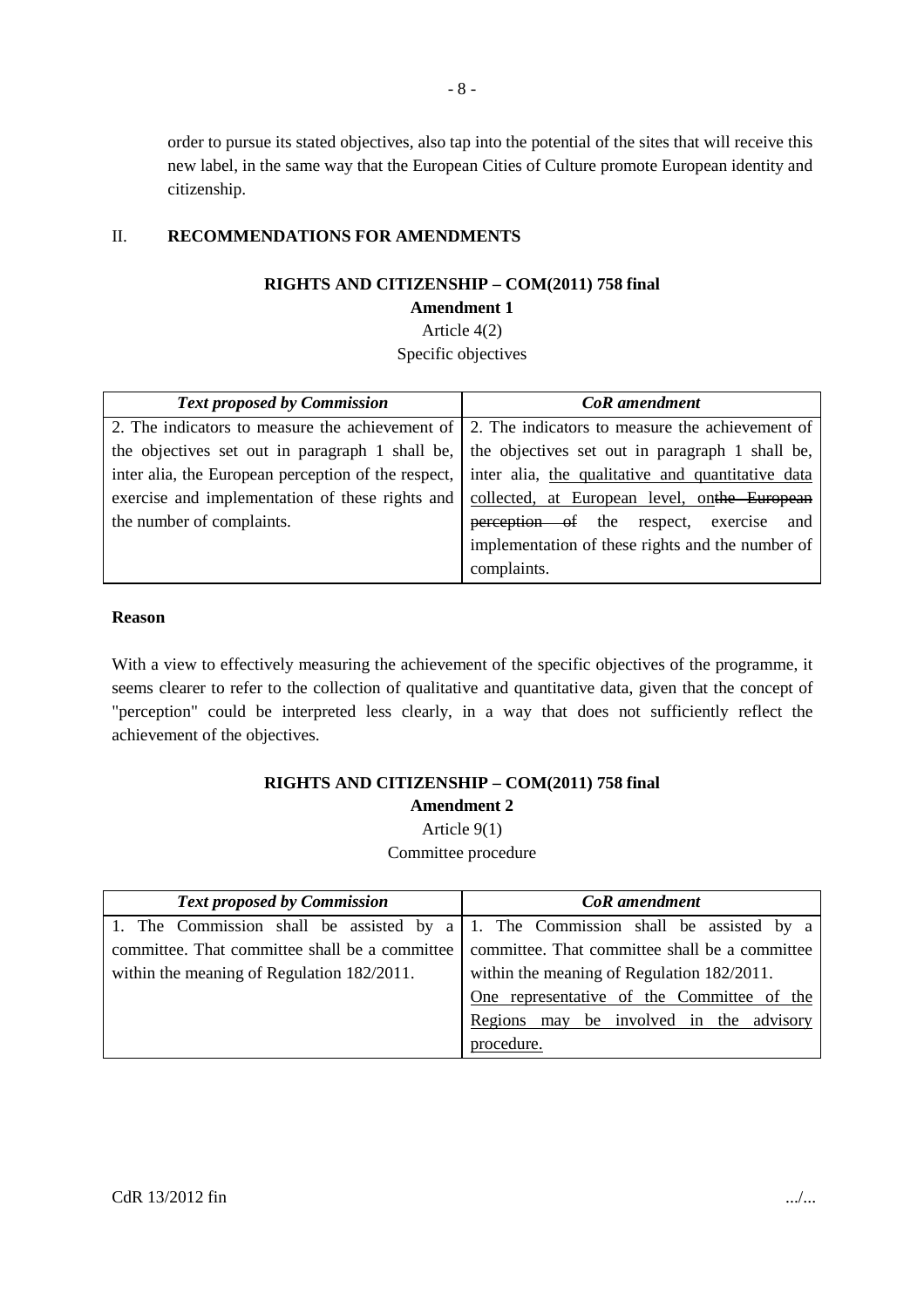order to pursue its stated objectives, also tap into the potential of the sites that will receive this new label, in the same way that the European Cities of Culture promote European identity and citizenship.

#### II. **RECOMMENDATIONS FOR AMENDMENTS**

#### **RIGHTS AND CITIZENSHIP – COM(2011) 758 final**

#### **Amendment 1**

Article 4(2)

Specific objectives

| <b>Text proposed by Commission</b>                                                                      | <b>CoR</b> amendment                             |
|---------------------------------------------------------------------------------------------------------|--------------------------------------------------|
| 2. The indicators to measure the achievement of $\vert$ 2. The indicators to measure the achievement of |                                                  |
| the objectives set out in paragraph 1 shall be, $\vert$ the objectives set out in paragraph 1 shall be, |                                                  |
| inter alia, the European perception of the respect, inter alia, the qualitative and quantitative data   |                                                  |
| exercise and implementation of these rights and collected, at European level, on the European           |                                                  |
| the number of complaints.                                                                               | perception of the respect, exercise and          |
|                                                                                                         | implementation of these rights and the number of |
|                                                                                                         | complaints.                                      |

#### **Reason**

With a view to effectively measuring the achievement of the specific objectives of the programme, it seems clearer to refer to the collection of qualitative and quantitative data, given that the concept of "perception" could be interpreted less clearly, in a way that does not sufficiently reflect the achievement of the objectives.

### **RIGHTS AND CITIZENSHIP – COM(2011) 758 final Amendment 2** Article 9(1)

Committee procedure

| <b>Text proposed by Commission</b>             | <b>CoR</b> amendment                                                              |
|------------------------------------------------|-----------------------------------------------------------------------------------|
|                                                | 1. The Commission shall be assisted by a 1. The Commission shall be assisted by a |
| committee. That committee shall be a committee | committee. That committee shall be a committee                                    |
| within the meaning of Regulation 182/2011.     | within the meaning of Regulation 182/2011.                                        |
|                                                | One representative of the Committee of the                                        |
|                                                | Regions may be involved in the advisory                                           |
|                                                | procedure.                                                                        |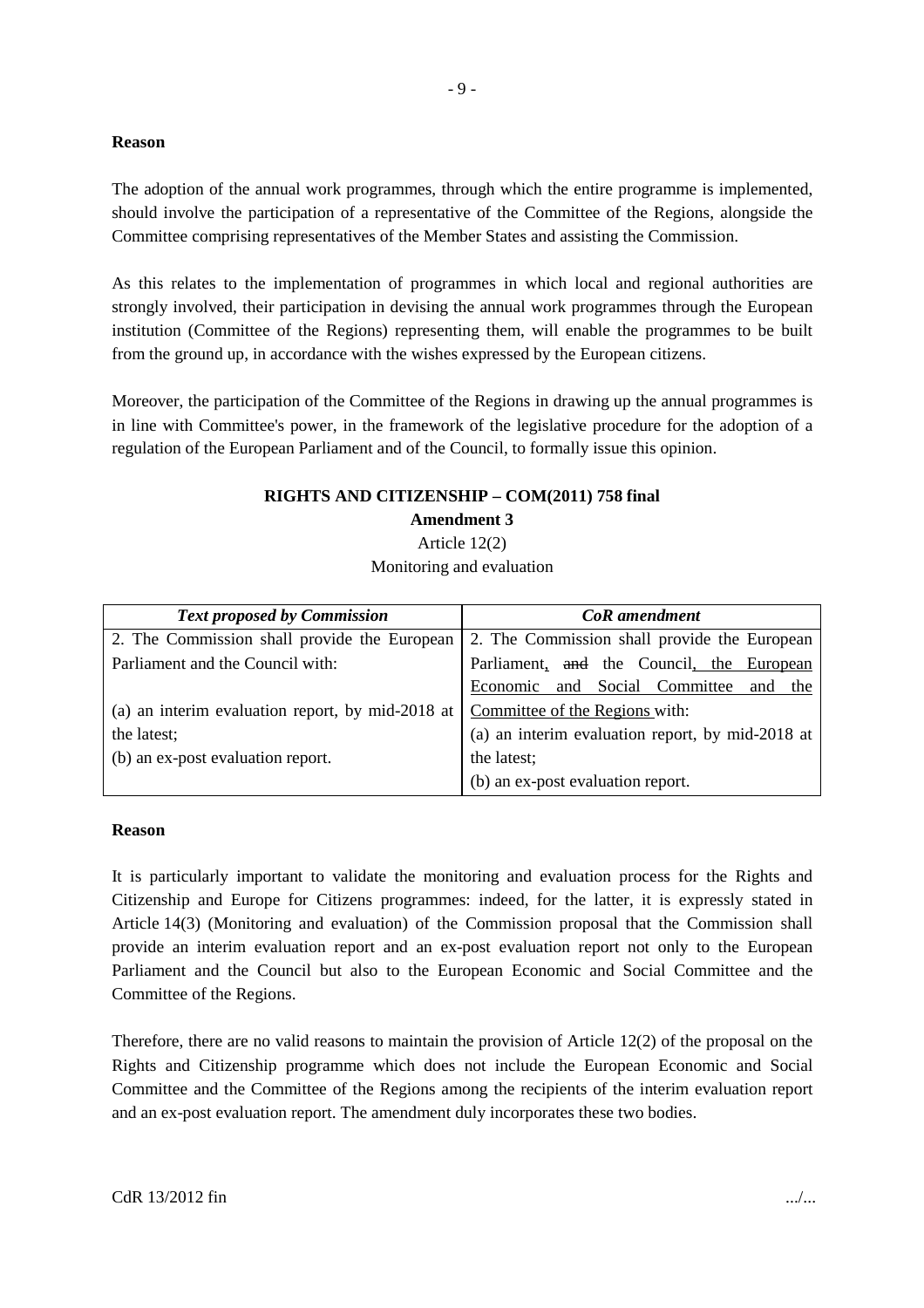#### **Reason**

The adoption of the annual work programmes, through which the entire programme is implemented, should involve the participation of a representative of the Committee of the Regions, alongside the Committee comprising representatives of the Member States and assisting the Commission.

As this relates to the implementation of programmes in which local and regional authorities are strongly involved, their participation in devising the annual work programmes through the European institution (Committee of the Regions) representing them, will enable the programmes to be built from the ground up, in accordance with the wishes expressed by the European citizens.

Moreover, the participation of the Committee of the Regions in drawing up the annual programmes is in line with Committee's power, in the framework of the legislative procedure for the adoption of a regulation of the European Parliament and of the Council, to formally issue this opinion.

### **RIGHTS AND CITIZENSHIP – COM(2011) 758 final Amendment 3**

Article 12(2) Monitoring and evaluation

| <b>Text proposed by Commission</b>               | <b>CoR</b> amendment                             |
|--------------------------------------------------|--------------------------------------------------|
| 2. The Commission shall provide the European     | 2. The Commission shall provide the European     |
| Parliament and the Council with:                 | Parliament, and the Council, the European        |
|                                                  | Economic and Social Committee and the            |
| (a) an interim evaluation report, by mid-2018 at | Committee of the Regions with:                   |
| the latest;                                      | (a) an interim evaluation report, by mid-2018 at |
| (b) an ex-post evaluation report.                | the latest;                                      |
|                                                  | (b) an ex-post evaluation report.                |

#### **Reason**

It is particularly important to validate the monitoring and evaluation process for the Rights and Citizenship and Europe for Citizens programmes: indeed, for the latter, it is expressly stated in Article 14(3) (Monitoring and evaluation) of the Commission proposal that the Commission shall provide an interim evaluation report and an ex-post evaluation report not only to the European Parliament and the Council but also to the European Economic and Social Committee and the Committee of the Regions.

Therefore, there are no valid reasons to maintain the provision of Article 12(2) of the proposal on the Rights and Citizenship programme which does not include the European Economic and Social Committee and the Committee of the Regions among the recipients of the interim evaluation report and an ex-post evaluation report. The amendment duly incorporates these two bodies.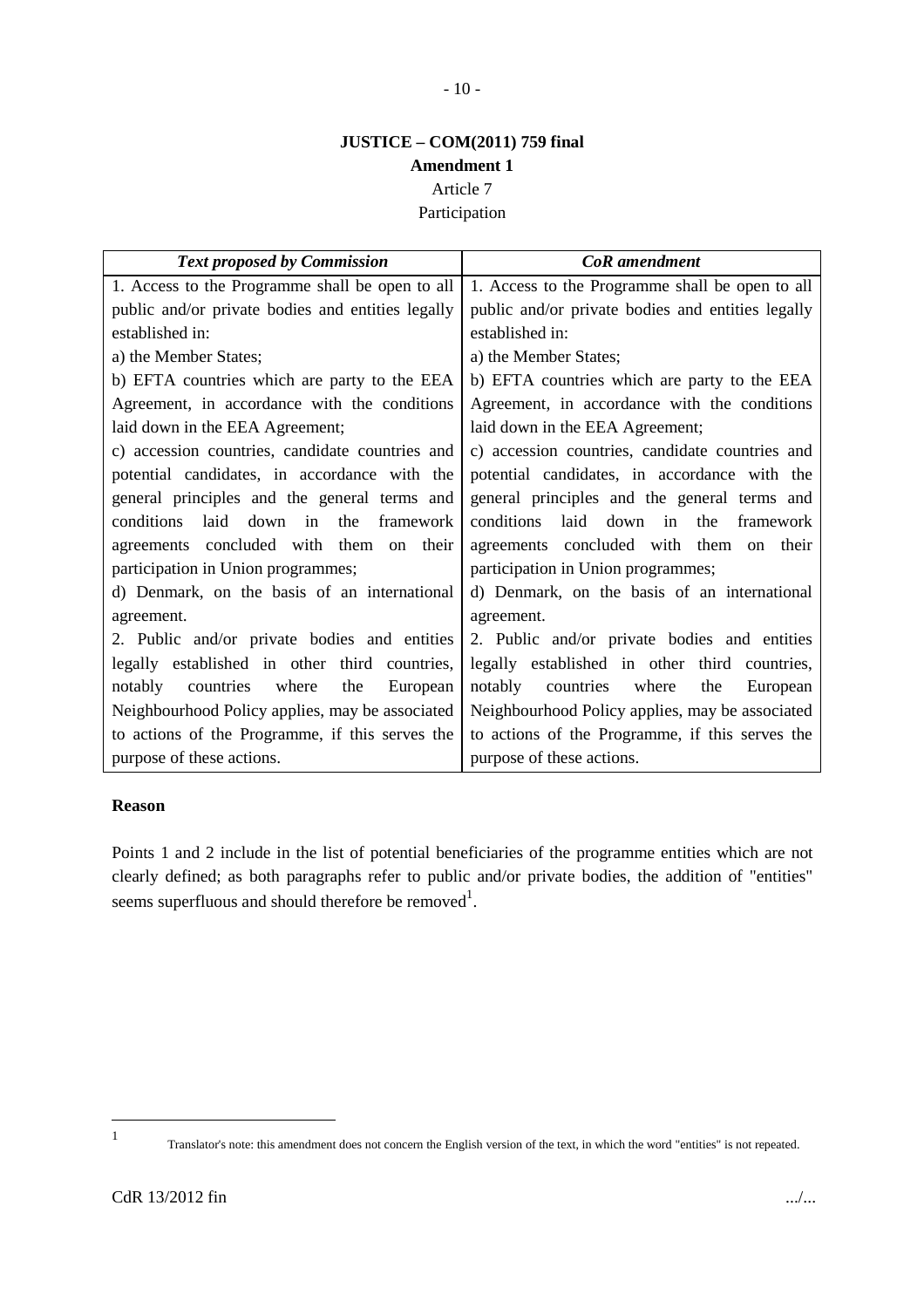## **JUSTICE – COM(2011) 759 final Amendment 1**

Article 7

Participation

| <b>Text proposed by Commission</b>                   | <b>CoR</b> amendment                              |
|------------------------------------------------------|---------------------------------------------------|
| 1. Access to the Programme shall be open to all      | 1. Access to the Programme shall be open to all   |
| public and/or private bodies and entities legally    | public and/or private bodies and entities legally |
| established in:                                      | established in:                                   |
| a) the Member States;                                | a) the Member States;                             |
| b) EFTA countries which are party to the EEA         | b) EFTA countries which are party to the EEA      |
| Agreement, in accordance with the conditions         | Agreement, in accordance with the conditions      |
| laid down in the EEA Agreement;                      | laid down in the EEA Agreement;                   |
| c) accession countries, candidate countries and      | c) accession countries, candidate countries and   |
| potential candidates, in accordance with the         | potential candidates, in accordance with the      |
| general principles and the general terms and         | general principles and the general terms and      |
| conditions<br>laid<br>down<br>the<br>in<br>framework | conditions<br>laid down in<br>the framework       |
| agreements concluded with them on their              | agreements concluded with them on their           |
| participation in Union programmes;                   | participation in Union programmes;                |
| d) Denmark, on the basis of an international         | d) Denmark, on the basis of an international      |
| agreement.                                           | agreement.                                        |
| 2. Public and/or private bodies and entities         | 2. Public and/or private bodies and entities      |
| legally established in other third countries,        | legally established in other third countries,     |
| notably<br>countries where<br>the<br>European        | notably<br>countries where<br>the<br>European     |
| Neighbourhood Policy applies, may be associated      | Neighbourhood Policy applies, may be associated   |
| to actions of the Programme, if this serves the      | to actions of the Programme, if this serves the   |
| purpose of these actions.                            | purpose of these actions.                         |

#### **Reason**

Points 1 and 2 include in the list of potential beneficiaries of the programme entities which are not clearly defined; as both paragraphs refer to public and/or private bodies, the addition of "entities" seems superfluous and should therefore be removed<sup>1</sup>.

<sup>1</sup>

Translator's note: this amendment does not concern the English version of the text, in which the word "entities" is not repeated.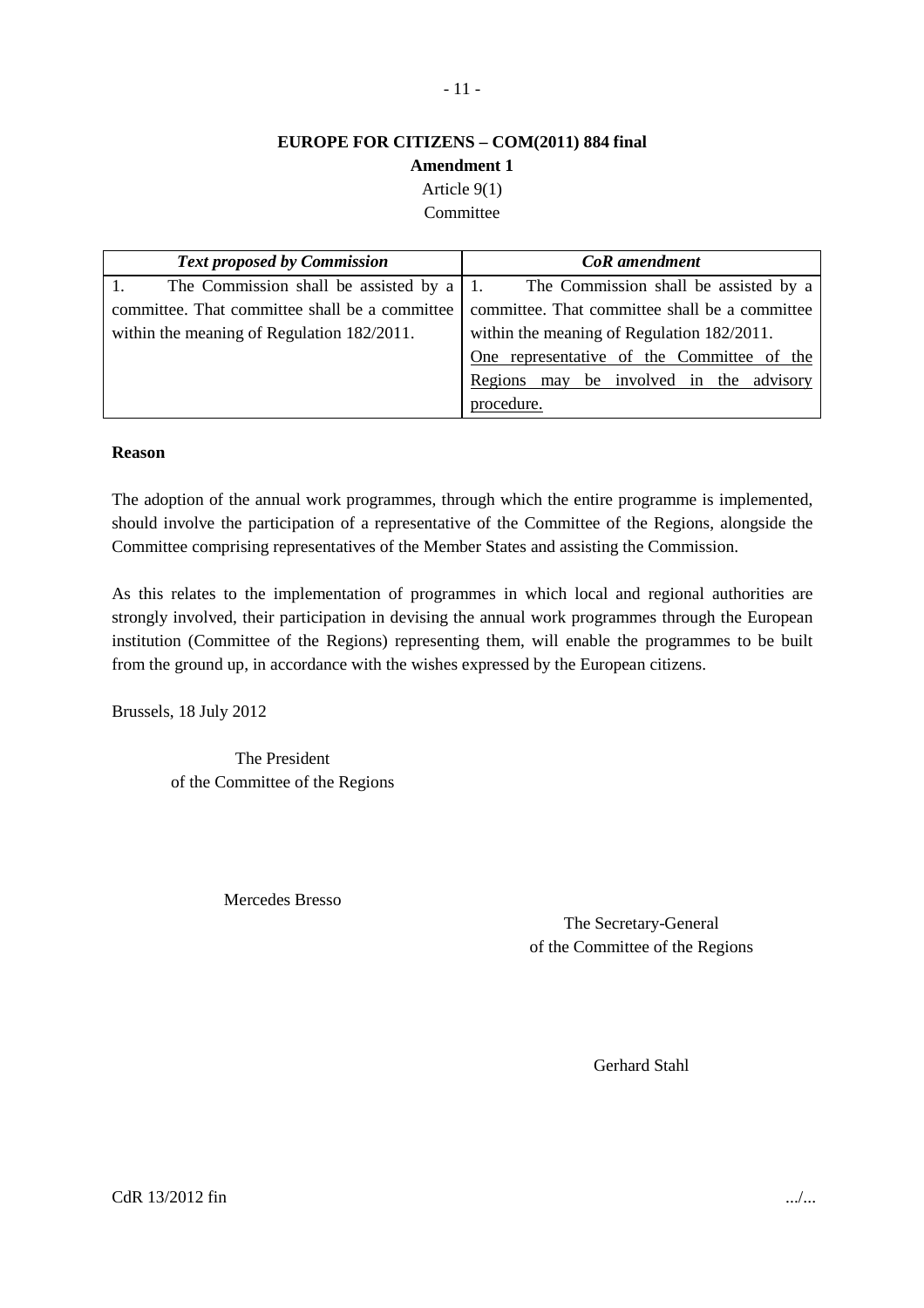## **EUROPE FOR CITIZENS – COM(2011) 884 final Amendment 1**

Article 9(1) Committee

| <b>Text proposed by Commission</b>               | <b>CoR</b> amendment                           |
|--------------------------------------------------|------------------------------------------------|
| The Commission shall be assisted by a $\vert$ 1. | The Commission shall be assisted by a          |
| committee. That committee shall be a committee   | committee. That committee shall be a committee |
| within the meaning of Regulation 182/2011.       | within the meaning of Regulation 182/2011.     |
|                                                  | One representative of the Committee of the     |
|                                                  | Regions may be involved in the advisory        |
|                                                  | procedure.                                     |

#### **Reason**

The adoption of the annual work programmes, through which the entire programme is implemented, should involve the participation of a representative of the Committee of the Regions, alongside the Committee comprising representatives of the Member States and assisting the Commission.

As this relates to the implementation of programmes in which local and regional authorities are strongly involved, their participation in devising the annual work programmes through the European institution (Committee of the Regions) representing them, will enable the programmes to be built from the ground up, in accordance with the wishes expressed by the European citizens.

Brussels, 18 July 2012

The President of the Committee of the Regions

Mercedes Bresso

The Secretary-General of the Committee of the Regions

Gerhard Stahl